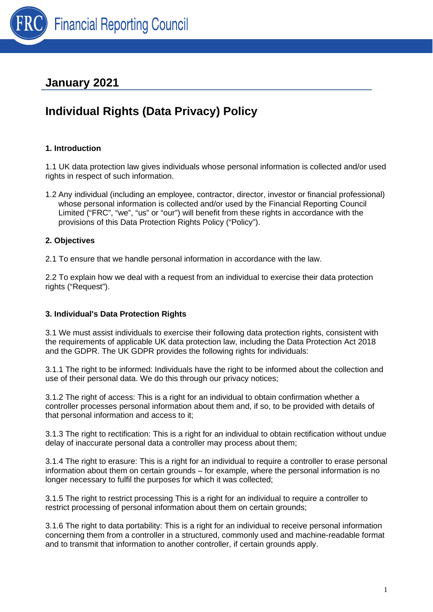

## **January 2021**

# **Individual Rights (Data Privacy) Policy**

## **1. Introduction**

1.1 UK data protection law gives individuals whose personal information is collected and/or used rights in respect of such information.

1.2 Any individual (including an employee, contractor, director, investor or financial professional) whose personal information is collected and/or used by the Financial Reporting Council Limited ("FRC", "we", "us" or "our") will benefit from these rights in accordance with the provisions of this Data Protection Rights Policy ("Policy").

## **2. Objectives**

2.1 To ensure that we handle personal information in accordance with the law.

2.2 To explain how we deal with a request from an individual to exercise their data protection rights ("Request").

## **3. Individual's Data Protection Rights**

3.1 We must assist individuals to exercise their following data protection rights, consistent with the requirements of applicable UK data protection law, including the Data Protection Act 2018 and the GDPR. The UK GDPR provides the following rights for individuals:

3.1.1 The right to be informed: Individuals have the right to be informed about the collection and use of their personal data. We do this through our privacy notices;

3.1.2 The right of access: This is a right for an individual to obtain confirmation whether a controller processes personal information about them and, if so, to be provided with details of that personal information and access to it;

3.1.3 The right to rectification: This is a right for an individual to obtain rectification without undue delay of inaccurate personal data a controller may process about them;

3.1.4 The right to erasure: This is a right for an individual to require a controller to erase personal information about them on certain grounds – for example, where the personal information is no longer necessary to fulfil the purposes for which it was collected;

3.1.5 The right to restrict processing This is a right for an individual to require a controller to restrict processing of personal information about them on certain grounds;

3.1.6 The right to data portability: This is a right for an individual to receive personal information concerning them from a controller in a structured, commonly used and machine-readable format and to transmit that information to another controller, if certain grounds apply.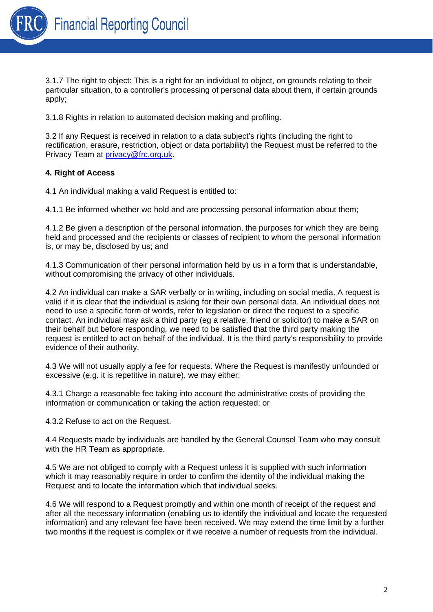

3.1.7 The right to object: This is a right for an individual to object, on grounds relating to their particular situation, to a controller's processing of personal data about them, if certain grounds apply;

3.1.8 Rights in relation to automated decision making and profiling.

3.2 If any Request is received in relation to a data subject's rights (including the right to rectification, erasure, restriction, object or data portability) the Request must be referred to the Privacy Team at [privacy@frc.org.uk.](mailto:privacy@frc.org.uk)

## **4. Right of Access**

4.1 An individual making a valid Request is entitled to:

4.1.1 Be informed whether we hold and are processing personal information about them;

4.1.2 Be given a description of the personal information, the purposes for which they are being held and processed and the recipients or classes of recipient to whom the personal information is, or may be, disclosed by us; and

4.1.3 Communication of their personal information held by us in a form that is understandable, without compromising the privacy of other individuals.

4.2 An individual can make a SAR verbally or in writing, including on social media. A request is valid if it is clear that the individual is asking for their own personal data. An individual does not need to use a specific form of words, refer to legislation or direct the request to a specific contact. An individual may ask a third party (eg a relative, friend or solicitor) to make a SAR on their behalf but before responding, we need to be satisfied that the third party making the request is entitled to act on behalf of the individual. It is the third party's responsibility to provide evidence of their authority.

4.3 We will not usually apply a fee for requests. Where the Request is manifestly unfounded or excessive (e.g. it is repetitive in nature), we may either:

4.3.1 Charge a reasonable fee taking into account the administrative costs of providing the information or communication or taking the action requested; or

4.3.2 Refuse to act on the Request.

4.4 Requests made by individuals are handled by the General Counsel Team who may consult with the HR Team as appropriate.

4.5 We are not obliged to comply with a Request unless it is supplied with such information which it may reasonably require in order to confirm the identity of the individual making the Request and to locate the information which that individual seeks.

4.6 We will respond to a Request promptly and within one month of receipt of the request and after all the necessary information (enabling us to identify the individual and locate the requested information) and any relevant fee have been received. We may extend the time limit by a further two months if the request is complex or if we receive a number of requests from the individual.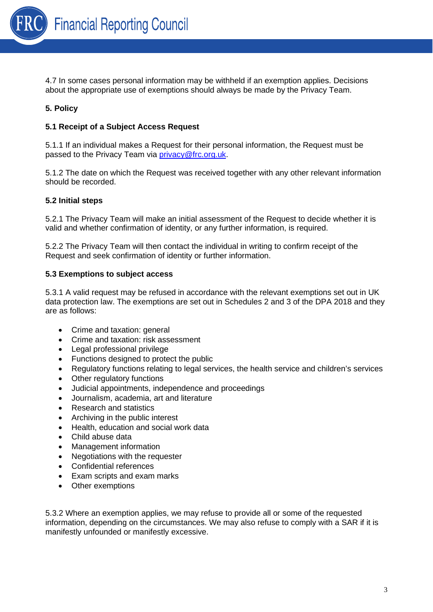

4.7 In some cases personal information may be withheld if an exemption applies. Decisions about the appropriate use of exemptions should always be made by the Privacy Team.

## **5. Policy**

## **5.1 Receipt of a Subject Access Request**

5.1.1 If an individual makes a Request for their personal information, the Request must be passed to the Privacy Team via [privacy@frc.org.uk.](mailto:privacy@frc.org.uk)

5.1.2 The date on which the Request was received together with any other relevant information should be recorded.

#### **5.2 Initial steps**

5.2.1 The Privacy Team will make an initial assessment of the Request to decide whether it is valid and whether confirmation of identity, or any further information, is required.

5.2.2 The Privacy Team will then contact the individual in writing to confirm receipt of the Request and seek confirmation of identity or further information.

#### **5.3 Exemptions to subject access**

5.3.1 A valid request may be refused in accordance with the relevant exemptions set out in UK data protection law. The exemptions are set out in Schedules 2 and 3 of the DPA 2018 and they are as follows:

- Crime and taxation: general
- Crime and taxation: risk assessment
- Legal professional privilege
- Functions designed to protect the public
- Regulatory functions relating to legal services, the health service and children's services
- Other regulatory functions
- Judicial appointments, independence and proceedings
- Journalism, academia, art and literature
- Research and statistics
- Archiving in the public interest
- Health, education and social work data
- Child abuse data
- Management information
- Negotiations with the requester
- Confidential references
- Exam scripts and exam marks
- Other exemptions

5.3.2 Where an exemption applies, we may refuse to provide all or some of the requested information, depending on the circumstances. We may also refuse to comply with a SAR if it is manifestly unfounded or manifestly excessive.